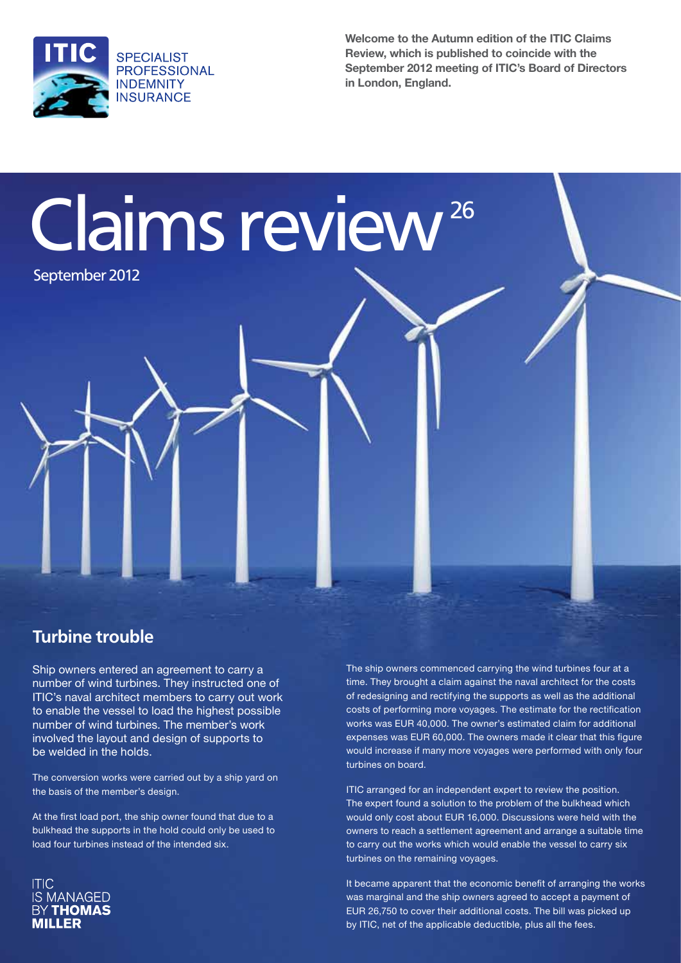

Claims review 26

September 2012

**Welcome to the Autumn edition of the ITIC Claims Review, which is published to coincide with the September 2012 meeting of ITIC's Board of Directors in London, England.**

#### **Turbine trouble**

Ship owners entered an agreement to carry a number of wind turbines. They instructed one of ITIC's naval architect members to carry out work to enable the vessel to load the highest possible number of wind turbines. The member's work involved the layout and design of supports to be welded in the holds.

The conversion works were carried out by a ship yard on the basis of the member's design.

At the first load port, the ship owner found that due to a bulkhead the supports in the hold could only be used to load four turbines instead of the intended six.



The ship owners commenced carrying the wind turbines four at a time. They brought a claim against the naval architect for the costs of redesigning and rectifying the supports as well as the additional costs of performing more voyages. The estimate for the rectification works was EUR 40,000. The owner's estimated claim for additional expenses was EUR 60,000. The owners made it clear that this figure would increase if many more voyages were performed with only four turbines on board.

ITIC arranged for an independent expert to review the position. The expert found a solution to the problem of the bulkhead which would only cost about EUR 16,000. Discussions were held with the owners to reach a settlement agreement and arrange a suitable time to carry out the works which would enable the vessel to carry six turbines on the remaining voyages.

It became apparent that the economic benefit of arranging the works was marginal and the ship owners agreed to accept a payment of EUR 26,750 to cover their additional costs. The bill was picked up by ITIC, net of the applicable deductible, plus all the fees.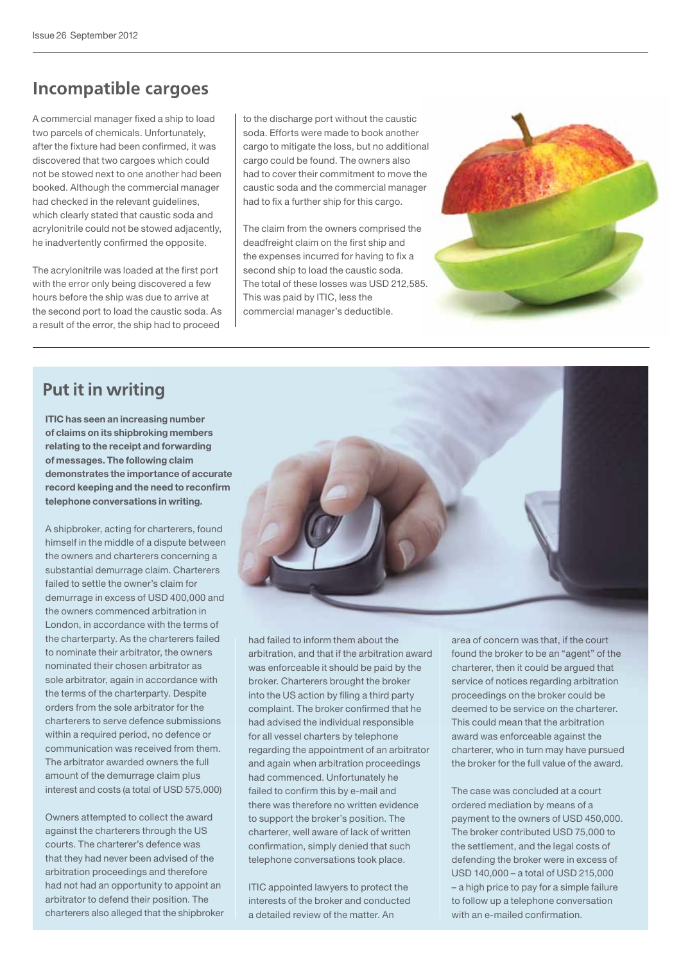### **Incompatible cargoes**

A commercial manager fixed a ship to load two parcels of chemicals. Unfortunately, after the fixture had been confirmed, it was discovered that two cargoes which could not be stowed next to one another had been booked. Although the commercial manager had checked in the relevant guidelines, which clearly stated that caustic soda and acrylonitrile could not be stowed adjacently, he inadvertently confirmed the opposite.

The acrylonitrile was loaded at the first port with the error only being discovered a few hours before the ship was due to arrive at the second port to load the caustic soda. As a result of the error, the ship had to proceed

to the discharge port without the caustic soda. Efforts were made to book another cargo to mitigate the loss, but no additional cargo could be found. The owners also had to cover their commitment to move the caustic soda and the commercial manager had to fix a further ship for this cargo.

The claim from the owners comprised the deadfreight claim on the first ship and the expenses incurred for having to fix a second ship to load the caustic soda. The total of these losses was USD 212,585. This was paid by ITIC, less the commercial manager's deductible.



#### **Put it in writing**

**ITIC has seen an increasing number of claims on its shipbroking members relating to the receipt and forwarding of messages. The following claim demonstrates the importance of accurate record keeping and the need to reconfirm telephone conversations in writing.**

A shipbroker, acting for charterers, found himself in the middle of a dispute between the owners and charterers concerning a substantial demurrage claim. Charterers failed to settle the owner's claim for demurrage in excess of USD 400,000 and the owners commenced arbitration in London, in accordance with the terms of the charterparty. As the charterers failed to nominate their arbitrator, the owners nominated their chosen arbitrator as sole arbitrator, again in accordance with the terms of the charterparty. Despite orders from the sole arbitrator for the charterers to serve defence submissions within a required period, no defence or communication was received from them. The arbitrator awarded owners the full amount of the demurrage claim plus interest and costs (a total of USD 575,000)

Owners attempted to collect the award against the charterers through the US courts. The charterer's defence was that they had never been advised of the arbitration proceedings and therefore had not had an opportunity to appoint an arbitrator to defend their position. The charterers also alleged that the shipbroker

had failed to inform them about the arbitration, and that if the arbitration award was enforceable it should be paid by the broker. Charterers brought the broker into the US action by filing a third party complaint. The broker confirmed that he had advised the individual responsible for all vessel charters by telephone regarding the appointment of an arbitrator and again when arbitration proceedings had commenced. Unfortunately he failed to confirm this by e-mail and there was therefore no written evidence to support the broker's position. The charterer, well aware of lack of written confirmation, simply denied that such telephone conversations took place.

ITIC appointed lawyers to protect the interests of the broker and conducted a detailed review of the matter. An

area of concern was that, if the court found the broker to be an "agent" of the charterer, then it could be argued that service of notices regarding arbitration proceedings on the broker could be deemed to be service on the charterer. This could mean that the arbitration award was enforceable against the charterer, who in turn may have pursued the broker for the full value of the award.

The case was concluded at a court ordered mediation by means of a payment to the owners of USD 450,000. The broker contributed USD 75,000 to the settlement, and the legal costs of defending the broker were in excess of USD 140,000 – a total of USD 215,000 – a high price to pay for a simple failure to follow up a telephone conversation with an e-mailed confirmation.

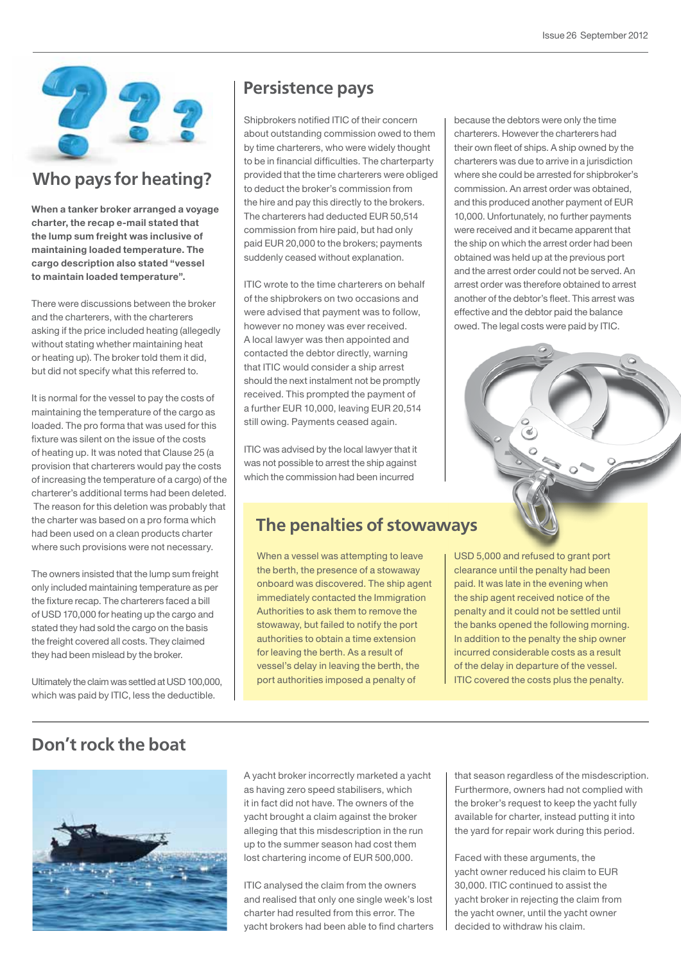

## **Who pays for heating?**

**When a tanker broker arranged a voyage charter, the recap e-mail stated that the lump sum freight was inclusive of maintaining loaded temperature. The cargo description also stated "vessel to maintain loaded temperature".** 

There were discussions between the broker and the charterers, with the charterers asking if the price included heating (allegedly without stating whether maintaining heat or heating up). The broker told them it did, but did not specify what this referred to.

It is normal for the vessel to pay the costs of maintaining the temperature of the cargo as loaded. The pro forma that was used for this fixture was silent on the issue of the costs of heating up. It was noted that Clause 25 (a provision that charterers would pay the costs of increasing the temperature of a cargo) of the charterer's additional terms had been deleted. The reason for this deletion was probably that the charter was based on a pro forma which had been used on a clean products charter where such provisions were not necessary.

The owners insisted that the lump sum freight only included maintaining temperature as per the fixture recap. The charterers faced a bill of USD 170,000 for heating up the cargo and stated they had sold the cargo on the basis the freight covered all costs. They claimed they had been mislead by the broker.

Ultimately the claim was settled at USD 100,000, which was paid by ITIC, less the deductible.

#### **Persistence pays**

Shipbrokers notified ITIC of their concern about outstanding commission owed to them by time charterers, who were widely thought to be in financial difficulties. The charterparty provided that the time charterers were obliged to deduct the broker's commission from the hire and pay this directly to the brokers. The charterers had deducted EUR 50,514 commission from hire paid, but had only paid EUR 20,000 to the brokers; payments suddenly ceased without explanation.

ITIC wrote to the time charterers on behalf of the shipbrokers on two occasions and were advised that payment was to follow, however no money was ever received. A local lawyer was then appointed and contacted the debtor directly, warning that ITIC would consider a ship arrest should the next instalment not be promptly received. This prompted the payment of a further EUR 10,000, leaving EUR 20,514 still owing. Payments ceased again.

ITIC was advised by the local lawyer that it was not possible to arrest the ship against which the commission had been incurred

### **The penalties of stowaways**

When a vessel was attempting to leave the berth, the presence of a stowaway onboard was discovered. The ship agent immediately contacted the Immigration Authorities to ask them to remove the stowaway, but failed to notify the port authorities to obtain a time extension for leaving the berth. As a result of vessel's delay in leaving the berth, the port authorities imposed a penalty of

because the debtors were only the time charterers. However the charterers had their own fleet of ships. A ship owned by the charterers was due to arrive in a jurisdiction where she could be arrested for shipbroker's commission. An arrest order was obtained, and this produced another payment of EUR 10,000. Unfortunately, no further payments were received and it became apparent that the ship on which the arrest order had been obtained was held up at the previous port and the arrest order could not be served. An arrest order was therefore obtained to arrest another of the debtor's fleet. This arrest was effective and the debtor paid the balance owed. The legal costs were paid by ITIC.



USD 5,000 and refused to grant port clearance until the penalty had been paid. It was late in the evening when the ship agent received notice of the penalty and it could not be settled until the banks opened the following morning. In addition to the penalty the ship owner incurred considerable costs as a result of the delay in departure of the vessel. ITIC covered the costs plus the penalty.

# **Don't rock the boat**



A yacht broker incorrectly marketed a yacht as having zero speed stabilisers, which it in fact did not have. The owners of the yacht brought a claim against the broker alleging that this misdescription in the run up to the summer season had cost them lost chartering income of EUR 500,000.

ITIC analysed the claim from the owners and realised that only one single week's lost charter had resulted from this error. The yacht brokers had been able to find charters that season regardless of the misdescription. Furthermore, owners had not complied with the broker's request to keep the yacht fully available for charter, instead putting it into the yard for repair work during this period.

Faced with these arguments, the yacht owner reduced his claim to EUR 30,000. ITIC continued to assist the yacht broker in rejecting the claim from the yacht owner, until the yacht owner decided to withdraw his claim.